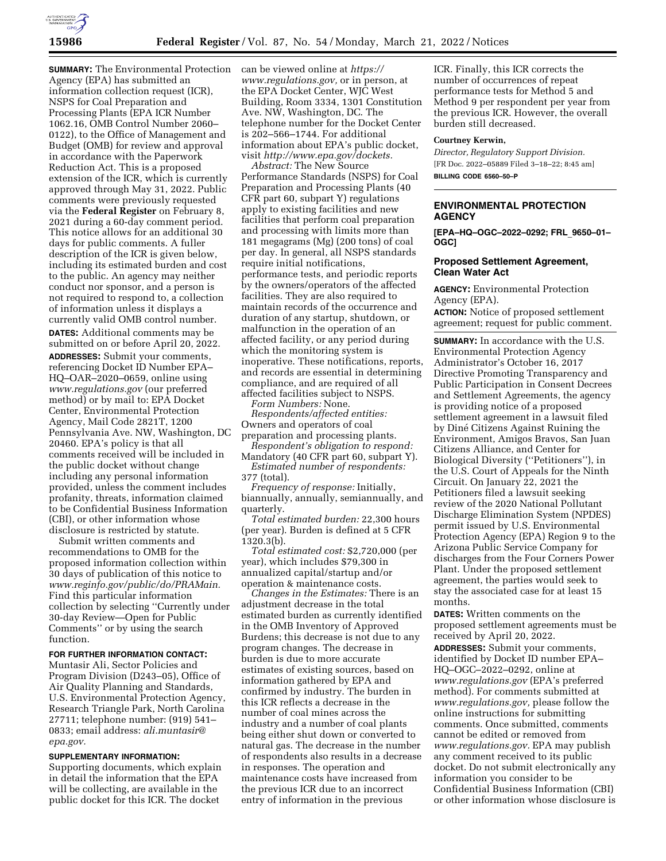

**SUMMARY:** The Environmental Protection Agency (EPA) has submitted an information collection request (ICR), NSPS for Coal Preparation and Processing Plants (EPA ICR Number 1062.16, OMB Control Number 2060– 0122), to the Office of Management and Budget (OMB) for review and approval in accordance with the Paperwork Reduction Act. This is a proposed extension of the ICR, which is currently approved through May 31, 2022. Public comments were previously requested via the **Federal Register** on February 8, 2021 during a 60-day comment period. This notice allows for an additional 30 days for public comments. A fuller description of the ICR is given below, including its estimated burden and cost to the public. An agency may neither conduct nor sponsor, and a person is not required to respond to, a collection of information unless it displays a currently valid OMB control number.

**DATES:** Additional comments may be submitted on or before April 20, 2022.

**ADDRESSES:** Submit your comments, referencing Docket ID Number EPA– HQ–OAR–2020–0659, online using *[www.regulations.gov](http://www.regulations.gov)* (our preferred method) or by mail to: EPA Docket Center, Environmental Protection Agency, Mail Code 2821T, 1200 Pennsylvania Ave. NW, Washington, DC 20460. EPA's policy is that all comments received will be included in the public docket without change including any personal information provided, unless the comment includes profanity, threats, information claimed to be Confidential Business Information (CBI), or other information whose disclosure is restricted by statute.

Submit written comments and recommendations to OMB for the proposed information collection within 30 days of publication of this notice to *[www.reginfo.gov/public/do/PRAMain.](http://www.reginfo.gov/public/do/PRAMain)*  Find this particular information collection by selecting ''Currently under 30-day Review—Open for Public Comments'' or by using the search function.

#### **FOR FURTHER INFORMATION CONTACT:**

Muntasir Ali, Sector Policies and Program Division (D243–05), Office of Air Quality Planning and Standards, U.S. Environmental Protection Agency, Research Triangle Park, North Carolina 27711; telephone number: (919) 541– 0833; email address: *[ali.muntasir@](mailto:ali.muntasir@epa.gov) [epa.gov.](mailto:ali.muntasir@epa.gov)* 

#### **SUPPLEMENTARY INFORMATION:**

Supporting documents, which explain in detail the information that the EPA will be collecting, are available in the public docket for this ICR. The docket

can be viewed online at *[https://](https://www.regulations.gov) [www.regulations.gov,](https://www.regulations.gov)* or in person, at the EPA Docket Center, WJC West Building, Room 3334, 1301 Constitution Ave. NW, Washington, DC. The telephone number for the Docket Center is 202–566–1744. For additional information about EPA's public docket, visit *[http://www.epa.gov/dockets.](http://www.epa.gov/dockets)* 

*Abstract:* The New Source Performance Standards (NSPS) for Coal Preparation and Processing Plants (40 CFR part 60, subpart Y) regulations apply to existing facilities and new facilities that perform coal preparation and processing with limits more than 181 megagrams (Mg) (200 tons) of coal per day. In general, all NSPS standards require initial notifications, performance tests, and periodic reports by the owners/operators of the affected facilities. They are also required to maintain records of the occurrence and duration of any startup, shutdown, or malfunction in the operation of an affected facility, or any period during which the monitoring system is inoperative. These notifications, reports, and records are essential in determining compliance, and are required of all affected facilities subject to NSPS.

*Form Numbers:* None.

*Respondents/affected entities:*  Owners and operators of coal preparation and processing plants.

*Respondent's obligation to respond:*  Mandatory (40 CFR part 60, subpart Y). *Estimated number of respondents:* 

377 (total).

*Frequency of response:* Initially, biannually, annually, semiannually, and quarterly.

*Total estimated burden:* 22,300 hours (per year). Burden is defined at 5 CFR 1320.3(b).

*Total estimated cost:* \$2,720,000 (per year), which includes \$79,300 in annualized capital/startup and/or operation & maintenance costs.

*Changes in the Estimates:* There is an adjustment decrease in the total estimated burden as currently identified in the OMB Inventory of Approved Burdens; this decrease is not due to any program changes. The decrease in burden is due to more accurate estimates of existing sources, based on information gathered by EPA and confirmed by industry. The burden in this ICR reflects a decrease in the number of coal mines across the industry and a number of coal plants being either shut down or converted to natural gas. The decrease in the number of respondents also results in a decrease in responses. The operation and maintenance costs have increased from the previous ICR due to an incorrect entry of information in the previous

ICR. Finally, this ICR corrects the number of occurrences of repeat performance tests for Method 5 and Method 9 per respondent per year from the previous ICR. However, the overall burden still decreased.

#### **Courtney Kerwin,**

*Director, Regulatory Support Division.*  [FR Doc. 2022–05889 Filed 3–18–22; 8:45 am] **BILLING CODE 6560–50–P** 

## **ENVIRONMENTAL PROTECTION AGENCY**

**[EPA–HQ–OGC–2022–0292; FRL**\_**9650–01– OGC]** 

### **Proposed Settlement Agreement, Clean Water Act**

**AGENCY:** Environmental Protection Agency (EPA).

**ACTION:** Notice of proposed settlement agreement; request for public comment.

**SUMMARY:** In accordance with the U.S. Environmental Protection Agency Administrator's October 16, 2017 Directive Promoting Transparency and Public Participation in Consent Decrees and Settlement Agreements, the agency is providing notice of a proposed settlement agreement in a lawsuit filed by Dine´ Citizens Against Ruining the Environment, Amigos Bravos, San Juan Citizens Alliance, and Center for Biological Diversity (''Petitioners''), in the U.S. Court of Appeals for the Ninth Circuit. On January 22, 2021 the Petitioners filed a lawsuit seeking review of the 2020 National Pollutant Discharge Elimination System (NPDES) permit issued by U.S. Environmental Protection Agency (EPA) Region 9 to the Arizona Public Service Company for discharges from the Four Corners Power Plant. Under the proposed settlement agreement, the parties would seek to stay the associated case for at least 15 months.

**DATES:** Written comments on the proposed settlement agreements must be received by April 20, 2022.

**ADDRESSES:** Submit your comments, identified by Docket ID number EPA– HQ–OGC–2022–0292, online at *[www.regulations.gov](http://www.regulations.gov)* (EPA's preferred method). For comments submitted at *[www.regulations.gov,](http://www.regulations.gov)* please follow the online instructions for submitting comments. Once submitted, comments cannot be edited or removed from *[www.regulations.gov.](http://www.regulations.gov)* EPA may publish any comment received to its public docket. Do not submit electronically any information you consider to be Confidential Business Information (CBI) or other information whose disclosure is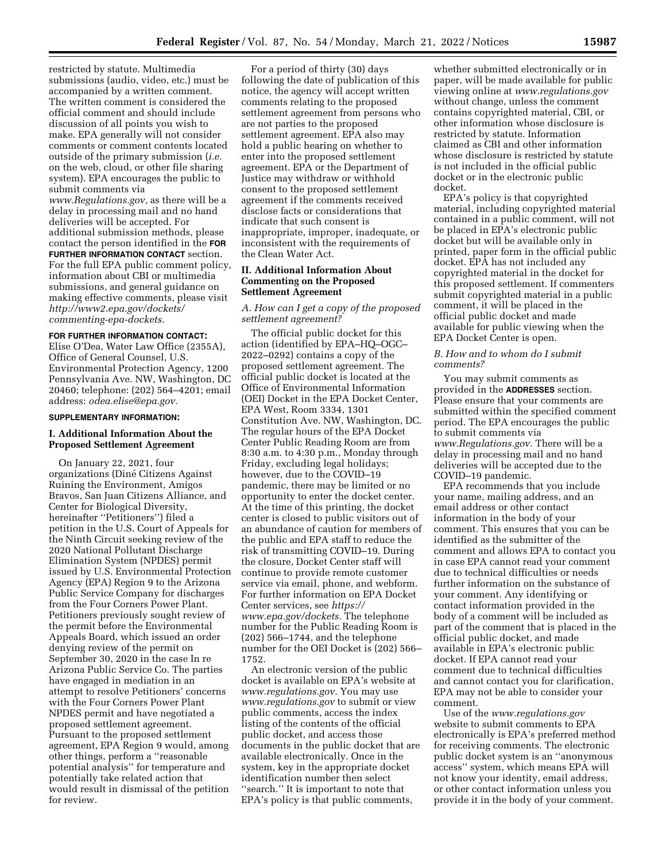restricted by statute. Multimedia submissions (audio, video, etc.) must be accompanied by a written comment. The written comment is considered the official comment and should include discussion of all points you wish to make. EPA generally will not consider comments or comment contents located outside of the primary submission (*i.e.*  on the web, cloud, or other file sharing system). EPA encourages the public to submit comments via *[www.Regulations.gov,](http://www.Regulations.gov)* as there will be a delay in processing mail and no hand deliveries will be accepted. For additional submission methods, please contact the person identified in the **FOR FURTHER INFORMATION CONTACT** section. For the full EPA public comment policy, information about CBI or multimedia submissions, and general guidance on making effective comments, please visit *[http://www2.epa.gov/dockets/](http://www2.epa.gov/dockets/commenting-epa-dockets)  [commenting-epa-dockets.](http://www2.epa.gov/dockets/commenting-epa-dockets)* 

#### **FOR FURTHER INFORMATION CONTACT:**

Elise O'Dea, Water Law Office (2355A), Office of General Counsel, U.S. Environmental Protection Agency, 1200 Pennsylvania Ave. NW, Washington, DC 20460; telephone: (202) 564–4201; email address: *[odea.elise@epa.gov.](mailto:odea.elise@epa.gov)* 

### **SUPPLEMENTARY INFORMATION:**

### **I. Additional Information About the Proposed Settlement Agreement**

On January 22, 2021, four organizations (Dine´ Citizens Against Ruining the Environment, Amigos Bravos, San Juan Citizens Alliance, and Center for Biological Diversity, hereinafter ''Petitioners'') filed a petition in the U.S. Court of Appeals for the Ninth Circuit seeking review of the 2020 National Pollutant Discharge Elimination System (NPDES) permit issued by U.S. Environmental Protection Agency (EPA) Region 9 to the Arizona Public Service Company for discharges from the Four Corners Power Plant. Petitioners previously sought review of the permit before the Environmental Appeals Board, which issued an order denying review of the permit on September 30, 2020 in the case In re Arizona Public Service Co. The parties have engaged in mediation in an attempt to resolve Petitioners' concerns with the Four Corners Power Plant NPDES permit and have negotiated a proposed settlement agreement. Pursuant to the proposed settlement agreement, EPA Region 9 would, among other things, perform a ''reasonable potential analysis'' for temperature and potentially take related action that would result in dismissal of the petition for review.

For a period of thirty (30) days following the date of publication of this notice, the agency will accept written comments relating to the proposed settlement agreement from persons who are not parties to the proposed settlement agreement. EPA also may hold a public hearing on whether to enter into the proposed settlement agreement. EPA or the Department of Justice may withdraw or withhold consent to the proposed settlement agreement if the comments received disclose facts or considerations that indicate that such consent is inappropriate, improper, inadequate, or inconsistent with the requirements of the Clean Water Act.

### **II. Additional Information About Commenting on the Proposed Settlement Agreement**

*A. How can I get a copy of the proposed settlement agreement?* 

The official public docket for this action (identified by EPA–HQ–OGC– 2022–0292) contains a copy of the proposed settlement agreement. The official public docket is located at the Office of Environmental Information (OEI) Docket in the EPA Docket Center, EPA West, Room 3334, 1301 Constitution Ave. NW, Washington, DC. The regular hours of the EPA Docket Center Public Reading Room are from 8:30 a.m. to 4:30 p.m., Monday through Friday, excluding legal holidays; however, due to the COVID–19 pandemic, there may be limited or no opportunity to enter the docket center. At the time of this printing, the docket center is closed to public visitors out of an abundance of caution for members of the public and EPA staff to reduce the risk of transmitting COVID–19. During the closure, Docket Center staff will continue to provide remote customer service via email, phone, and webform. For further information on EPA Docket Center services, see *[https://](https://www.epa.gov/dockets) [www.epa.gov/dockets.](https://www.epa.gov/dockets)* The telephone number for the Public Reading Room is (202) 566–1744, and the telephone number for the OEI Docket is (202) 566– 1752.

An electronic version of the public docket is available on EPA's website at *[www.regulations.gov.](http://www.regulations.gov)* You may use *[www.regulations.gov](http://www.regulations.gov)* to submit or view public comments, access the index listing of the contents of the official public docket, and access those documents in the public docket that are available electronically. Once in the system, key in the appropriate docket identification number then select ''search.'' It is important to note that EPA's policy is that public comments,

whether submitted electronically or in paper, will be made available for public viewing online at *[www.regulations.gov](http://www.regulations.gov)*  without change, unless the comment contains copyrighted material, CBI, or other information whose disclosure is restricted by statute. Information claimed as CBI and other information whose disclosure is restricted by statute is not included in the official public docket or in the electronic public docket.

EPA's policy is that copyrighted material, including copyrighted material contained in a public comment, will not be placed in EPA's electronic public docket but will be available only in printed, paper form in the official public docket. EPA has not included any copyrighted material in the docket for this proposed settlement. If commenters submit copyrighted material in a public comment, it will be placed in the official public docket and made available for public viewing when the EPA Docket Center is open.

### *B. How and to whom do I submit comments?*

You may submit comments as provided in the **ADDRESSES** section. Please ensure that your comments are submitted within the specified comment period. The EPA encourages the public to submit comments via *[www.Regulations.gov.](http://www.Regulations.gov)* There will be a delay in processing mail and no hand deliveries will be accepted due to the COVID–19 pandemic.

EPA recommends that you include your name, mailing address, and an email address or other contact information in the body of your comment. This ensures that you can be identified as the submitter of the comment and allows EPA to contact you in case EPA cannot read your comment due to technical difficulties or needs further information on the substance of your comment. Any identifying or contact information provided in the body of a comment will be included as part of the comment that is placed in the official public docket, and made available in EPA's electronic public docket. If EPA cannot read your comment due to technical difficulties and cannot contact you for clarification, EPA may not be able to consider your comment.

Use of the *[www.regulations.gov](http://www.regulations.gov)*  website to submit comments to EPA electronically is EPA's preferred method for receiving comments. The electronic public docket system is an ''anonymous access'' system, which means EPA will not know your identity, email address, or other contact information unless you provide it in the body of your comment.